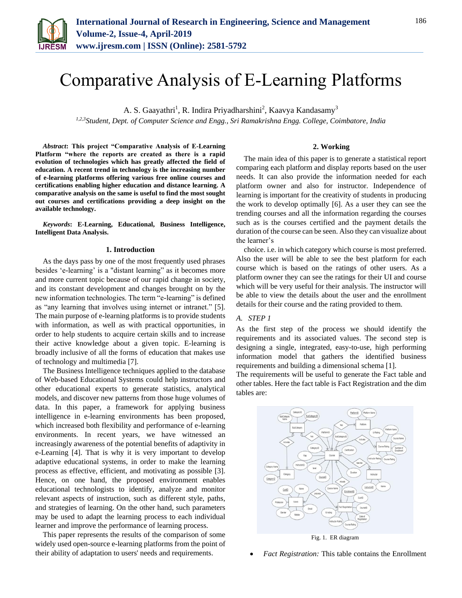

# Comparative Analysis of E-Learning Platforms

A. S. Gaayathri<sup>1</sup>, R. Indira Priyadharshini<sup>2</sup>, Kaavya Kandasamy<sup>3</sup>

*1,2,3Student, Dept. of Computer Science and Engg., Sri Ramakrishna Engg. College, Coimbatore, India*

*Abstract***: This project "Comparative Analysis of E-Learning Platform "where the reports are created as there is a rapid evolution of technologies which has greatly affected the field of education. A recent trend in technology is the increasing number of e-learning platforms offering various free online courses and certifications enabling higher education and distance learning. A comparative analysis on the same is useful to find the most sought out courses and certifications providing a deep insight on the available technology.** 

*Keywords***: E-Learning, Educational, Business Intelligence, Intelligent Data Analysis.**

## **1. Introduction**

As the days pass by one of the most frequently used phrases besides 'e-learning' is a "distant learning" as it becomes more and more current topic because of our rapid change in society, and its constant development and changes brought on by the new information technologies. The term "e-learning" is defined as "any learning that involves using internet or intranet." [5]. The main purpose of e-learning platforms is to provide students with information, as well as with practical opportunities, in order to help students to acquire certain skills and to increase their active knowledge about a given topic. E-learning is broadly inclusive of all the forms of education that makes use of technology and multimedia [7].

The Business Intelligence techniques applied to the database of Web-based Educational Systems could help instructors and other educational experts to generate statistics, analytical models, and discover new patterns from those huge volumes of data. In this paper, a framework for applying business intelligence in e-learning environments has been proposed, which increased both flexibility and performance of e-learning environments. In recent years, we have witnessed an increasingly awareness of the potential benefits of adaptivity in e-Learning [4]. That is why it is very important to develop adaptive educational systems, in order to make the learning process as effective, efficient, and motivating as possible [3]. Hence, on one hand, the proposed environment enables educational technologists to identify, analyze and monitor relevant aspects of instruction, such as different style, paths, and strategies of learning. On the other hand, such parameters may be used to adapt the learning process to each individual learner and improve the performance of learning process.

This paper represents the results of the comparison of some widely used open-source e-learning platforms from the point of their ability of adaptation to users' needs and requirements.

## **2. Working**

The main idea of this paper is to generate a statistical report comparing each platform and display reports based on the user needs. It can also provide the information needed for each platform owner and also for instructor. Independence of learning is important for the creativity of students in producing the work to develop optimally [6]. As a user they can see the trending courses and all the information regarding the courses such as is the courses certified and the payment details the duration of the course can be seen. Also they can visualize about the learner's

choice. i.e. in which category which course is most preferred. Also the user will be able to see the best platform for each course which is based on the ratings of other users. As a platform owner they can see the ratings for their UI and course which will be very useful for their analysis. The instructor will be able to view the details about the user and the enrollment details for their course and the rating provided to them.

#### *A. STEP 1*

As the first step of the process we should identify the requirements and its associated values. The second step is designing a single, integrated, easy-to-use, high performing information model that gathers the identified business requirements and building a dimensional schema [1].

The requirements will be useful to generate the Fact table and other tables. Here the fact table is Fact Registration and the dim tables are:



Fig. 1. ER diagram

*Fact Registration:* This table contains the Enrollment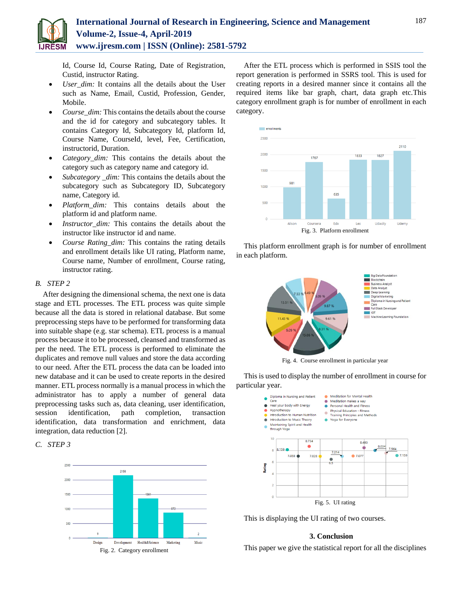

Id, Course Id, Course Rating, Date of Registration, Custid, instructor Rating.

- *User dim:* It contains all the details about the User such as Name, Email, Custid, Profession, Gender, Mobile.
- *Course dim:* This contains the details about the course and the id for category and subcategory tables. It contains Category Id, Subcategory Id, platform Id, Course Name, CourseId, level, Fee, Certification, instructorid, Duration.
- *Category\_dim:* This contains the details about the category such as category name and category id.
- *Subcategory \_dim:* This contains the details about the subcategory such as Subcategory ID, Subcategory name, Category id.
- *Platform\_dim:* This contains details about the platform id and platform name.
- *Instructor dim:* This contains the details about the instructor like instructor id and name.
- *Course Rating\_dim:* This contains the rating details and enrollment details like UI rating, Platform name, Course name, Number of enrollment, Course rating, instructor rating.

# *B. STEP 2*

After designing the dimensional schema, the next one is data stage and ETL processes. The ETL process was quite simple because all the data is stored in relational database. But some preprocessing steps have to be performed for transforming data into suitable shape (e.g. star schema). ETL process is a manual process because it to be processed, cleansed and transformed as per the need. The ETL process is performed to eliminate the duplicates and remove null values and store the data according to our need. After the ETL process the data can be loaded into new database and it can be used to create reports in the desired manner. ETL process normally is a manual process in which the administrator has to apply a number of general data preprocessing tasks such as, data cleaning, user identification, session identification, path completion, transaction identification, data transformation and enrichment, data integration, data reduction [2].





After the ETL process which is performed in SSIS tool the report generation is performed in SSRS tool. This is used for creating reports in a desired manner since it contains all the required items like bar graph, chart, data graph etc.This category enrollment graph is for number of enrollment in each category.



This platform enrollment graph is for number of enrollment in each platform.



Fig. 4. Course enrollment in particular year

This is used to display the number of enrollment in course for particular year.



This is displaying the UI rating of two courses.

# **3. Conclusion**

This paper we give the statistical report for all the disciplines